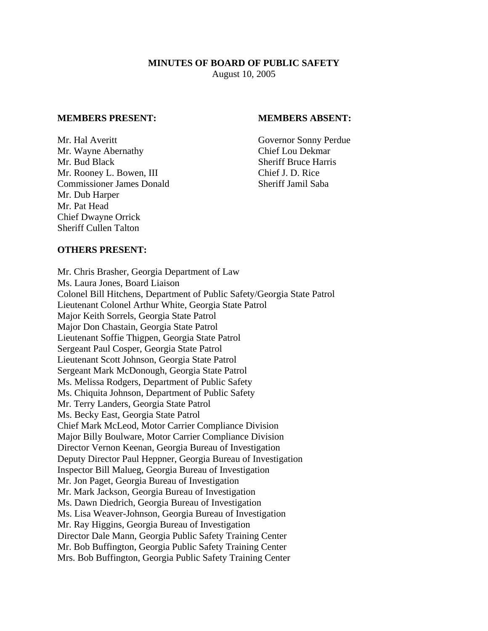## **MINUTES OF BOARD OF PUBLIC SAFETY**  August 10, 2005

#### **MEMBERS PRESENT: MEMBERS ABSENT:**

Mr. Hal Averitt Governor Sonny Perdue Mr. Wayne Abernathy Chief Lou Dekmar Mr. Bud Black Sheriff Bruce Harris Mr. Rooney L. Bowen, III Chief J. D. Rice Commissioner James Donald Sheriff Jamil Saba Mr. Dub Harper Mr. Pat Head Chief Dwayne Orrick Sheriff Cullen Talton

### **OTHERS PRESENT:**

Mr. Chris Brasher, Georgia Department of Law Ms. Laura Jones, Board Liaison Colonel Bill Hitchens, Department of Public Safety/Georgia State Patrol Lieutenant Colonel Arthur White, Georgia State Patrol Major Keith Sorrels, Georgia State Patrol Major Don Chastain, Georgia State Patrol Lieutenant Soffie Thigpen, Georgia State Patrol Sergeant Paul Cosper, Georgia State Patrol Lieutenant Scott Johnson, Georgia State Patrol Sergeant Mark McDonough, Georgia State Patrol Ms. Melissa Rodgers, Department of Public Safety Ms. Chiquita Johnson, Department of Public Safety Mr. Terry Landers, Georgia State Patrol Ms. Becky East, Georgia State Patrol Chief Mark McLeod, Motor Carrier Compliance Division Major Billy Boulware, Motor Carrier Compliance Division Director Vernon Keenan, Georgia Bureau of Investigation Deputy Director Paul Heppner, Georgia Bureau of Investigation Inspector Bill Malueg, Georgia Bureau of Investigation Mr. Jon Paget, Georgia Bureau of Investigation Mr. Mark Jackson, Georgia Bureau of Investigation Ms. Dawn Diedrich, Georgia Bureau of Investigation Ms. Lisa Weaver-Johnson, Georgia Bureau of Investigation Mr. Ray Higgins, Georgia Bureau of Investigation Director Dale Mann, Georgia Public Safety Training Center Mr. Bob Buffington, Georgia Public Safety Training Center Mrs. Bob Buffington, Georgia Public Safety Training Center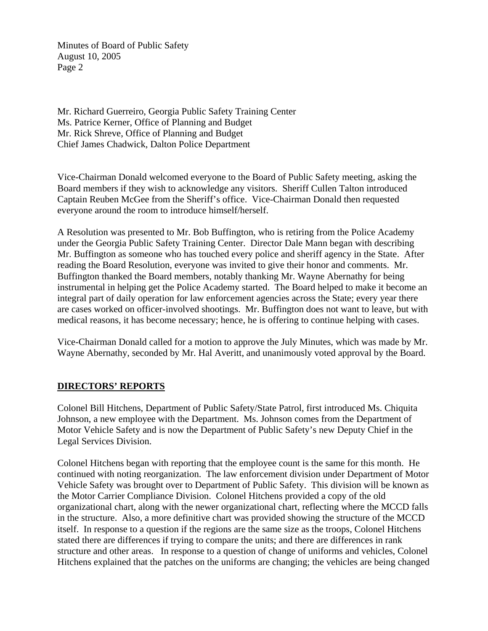Mr. Richard Guerreiro, Georgia Public Safety Training Center Ms. Patrice Kerner, Office of Planning and Budget Mr. Rick Shreve, Office of Planning and Budget Chief James Chadwick, Dalton Police Department

Vice-Chairman Donald welcomed everyone to the Board of Public Safety meeting, asking the Board members if they wish to acknowledge any visitors. Sheriff Cullen Talton introduced Captain Reuben McGee from the Sheriff's office. Vice-Chairman Donald then requested everyone around the room to introduce himself/herself.

A Resolution was presented to Mr. Bob Buffington, who is retiring from the Police Academy under the Georgia Public Safety Training Center. Director Dale Mann began with describing Mr. Buffington as someone who has touched every police and sheriff agency in the State. After reading the Board Resolution, everyone was invited to give their honor and comments. Mr. Buffington thanked the Board members, notably thanking Mr. Wayne Abernathy for being instrumental in helping get the Police Academy started. The Board helped to make it become an integral part of daily operation for law enforcement agencies across the State; every year there are cases worked on officer-involved shootings. Mr. Buffington does not want to leave, but with medical reasons, it has become necessary; hence, he is offering to continue helping with cases.

Vice-Chairman Donald called for a motion to approve the July Minutes, which was made by Mr. Wayne Abernathy, seconded by Mr. Hal Averitt, and unanimously voted approval by the Board.

# **DIRECTORS' REPORTS**

Colonel Bill Hitchens, Department of Public Safety/State Patrol, first introduced Ms. Chiquita Johnson, a new employee with the Department. Ms. Johnson comes from the Department of Motor Vehicle Safety and is now the Department of Public Safety's new Deputy Chief in the Legal Services Division.

Colonel Hitchens began with reporting that the employee count is the same for this month. He continued with noting reorganization. The law enforcement division under Department of Motor Vehicle Safety was brought over to Department of Public Safety. This division will be known as the Motor Carrier Compliance Division. Colonel Hitchens provided a copy of the old organizational chart, along with the newer organizational chart, reflecting where the MCCD falls in the structure. Also, a more definitive chart was provided showing the structure of the MCCD itself. In response to a question if the regions are the same size as the troops, Colonel Hitchens stated there are differences if trying to compare the units; and there are differences in rank structure and other areas. In response to a question of change of uniforms and vehicles, Colonel Hitchens explained that the patches on the uniforms are changing; the vehicles are being changed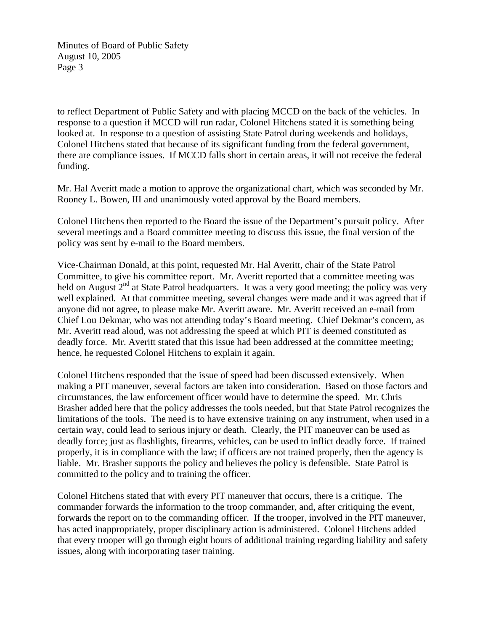to reflect Department of Public Safety and with placing MCCD on the back of the vehicles. In response to a question if MCCD will run radar, Colonel Hitchens stated it is something being looked at. In response to a question of assisting State Patrol during weekends and holidays, Colonel Hitchens stated that because of its significant funding from the federal government, there are compliance issues. If MCCD falls short in certain areas, it will not receive the federal funding.

Mr. Hal Averitt made a motion to approve the organizational chart, which was seconded by Mr. Rooney L. Bowen, III and unanimously voted approval by the Board members.

Colonel Hitchens then reported to the Board the issue of the Department's pursuit policy. After several meetings and a Board committee meeting to discuss this issue, the final version of the policy was sent by e-mail to the Board members.

Vice-Chairman Donald, at this point, requested Mr. Hal Averitt, chair of the State Patrol Committee, to give his committee report. Mr. Averitt reported that a committee meeting was held on August  $2<sup>nd</sup>$  at State Patrol headquarters. It was a very good meeting; the policy was very well explained. At that committee meeting, several changes were made and it was agreed that if anyone did not agree, to please make Mr. Averitt aware. Mr. Averitt received an e-mail from Chief Lou Dekmar, who was not attending today's Board meeting. Chief Dekmar's concern, as Mr. Averitt read aloud, was not addressing the speed at which PIT is deemed constituted as deadly force. Mr. Averitt stated that this issue had been addressed at the committee meeting; hence, he requested Colonel Hitchens to explain it again.

Colonel Hitchens responded that the issue of speed had been discussed extensively. When making a PIT maneuver, several factors are taken into consideration. Based on those factors and circumstances, the law enforcement officer would have to determine the speed. Mr. Chris Brasher added here that the policy addresses the tools needed, but that State Patrol recognizes the limitations of the tools. The need is to have extensive training on any instrument, when used in a certain way, could lead to serious injury or death. Clearly, the PIT maneuver can be used as deadly force; just as flashlights, firearms, vehicles, can be used to inflict deadly force. If trained properly, it is in compliance with the law; if officers are not trained properly, then the agency is liable. Mr. Brasher supports the policy and believes the policy is defensible. State Patrol is committed to the policy and to training the officer.

Colonel Hitchens stated that with every PIT maneuver that occurs, there is a critique. The commander forwards the information to the troop commander, and, after critiquing the event, forwards the report on to the commanding officer. If the trooper, involved in the PIT maneuver, has acted inappropriately, proper disciplinary action is administered. Colonel Hitchens added that every trooper will go through eight hours of additional training regarding liability and safety issues, along with incorporating taser training.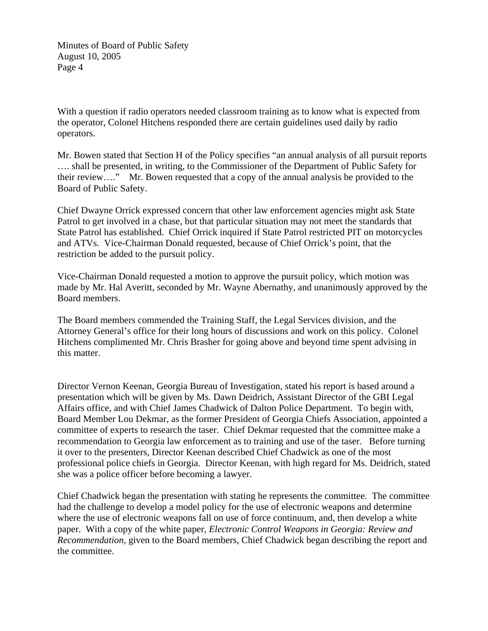With a question if radio operators needed classroom training as to know what is expected from the operator, Colonel Hitchens responded there are certain guidelines used daily by radio operators.

Mr. Bowen stated that Section H of the Policy specifies "an annual analysis of all pursuit reports …. shall be presented, in writing, to the Commissioner of the Department of Public Safety for their review…." Mr. Bowen requested that a copy of the annual analysis be provided to the Board of Public Safety.

Chief Dwayne Orrick expressed concern that other law enforcement agencies might ask State Patrol to get involved in a chase, but that particular situation may not meet the standards that State Patrol has established. Chief Orrick inquired if State Patrol restricted PIT on motorcycles and ATVs. Vice-Chairman Donald requested, because of Chief Orrick's point, that the restriction be added to the pursuit policy.

Vice-Chairman Donald requested a motion to approve the pursuit policy, which motion was made by Mr. Hal Averitt, seconded by Mr. Wayne Abernathy, and unanimously approved by the Board members.

The Board members commended the Training Staff, the Legal Services division, and the Attorney General's office for their long hours of discussions and work on this policy. Colonel Hitchens complimented Mr. Chris Brasher for going above and beyond time spent advising in this matter.

Director Vernon Keenan, Georgia Bureau of Investigation, stated his report is based around a presentation which will be given by Ms. Dawn Deidrich, Assistant Director of the GBI Legal Affairs office, and with Chief James Chadwick of Dalton Police Department. To begin with, Board Member Lou Dekmar, as the former President of Georgia Chiefs Association, appointed a committee of experts to research the taser. Chief Dekmar requested that the committee make a recommendation to Georgia law enforcement as to training and use of the taser. Before turning it over to the presenters, Director Keenan described Chief Chadwick as one of the most professional police chiefs in Georgia. Director Keenan, with high regard for Ms. Deidrich, stated she was a police officer before becoming a lawyer.

Chief Chadwick began the presentation with stating he represents the committee. The committee had the challenge to develop a model policy for the use of electronic weapons and determine where the use of electronic weapons fall on use of force continuum, and, then develop a white paper. With a copy of the white paper, *Electronic Control Weapons in Georgia: Review and Recommendation*, given to the Board members, Chief Chadwick began describing the report and the committee.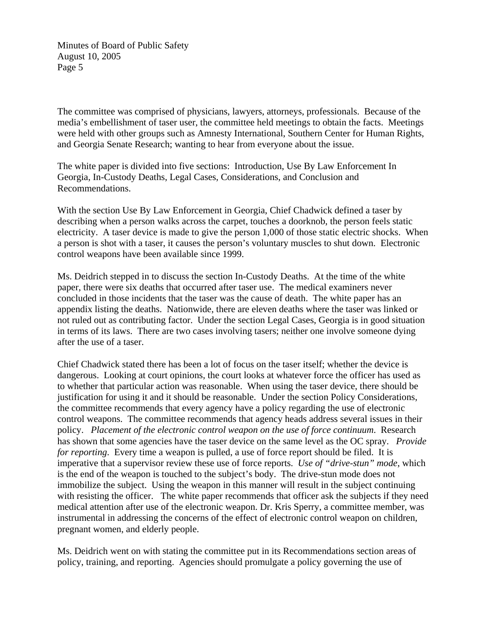The committee was comprised of physicians, lawyers, attorneys, professionals. Because of the media's embellishment of taser user, the committee held meetings to obtain the facts. Meetings were held with other groups such as Amnesty International, Southern Center for Human Rights, and Georgia Senate Research; wanting to hear from everyone about the issue.

The white paper is divided into five sections: Introduction, Use By Law Enforcement In Georgia, In-Custody Deaths, Legal Cases, Considerations, and Conclusion and Recommendations.

With the section Use By Law Enforcement in Georgia, Chief Chadwick defined a taser by describing when a person walks across the carpet, touches a doorknob, the person feels static electricity. A taser device is made to give the person 1,000 of those static electric shocks. When a person is shot with a taser, it causes the person's voluntary muscles to shut down. Electronic control weapons have been available since 1999.

Ms. Deidrich stepped in to discuss the section In-Custody Deaths. At the time of the white paper, there were six deaths that occurred after taser use. The medical examiners never concluded in those incidents that the taser was the cause of death. The white paper has an appendix listing the deaths. Nationwide, there are eleven deaths where the taser was linked or not ruled out as contributing factor. Under the section Legal Cases, Georgia is in good situation in terms of its laws. There are two cases involving tasers; neither one involve someone dying after the use of a taser.

Chief Chadwick stated there has been a lot of focus on the taser itself; whether the device is dangerous. Looking at court opinions, the court looks at whatever force the officer has used as to whether that particular action was reasonable. When using the taser device, there should be justification for using it and it should be reasonable. Under the section Policy Considerations, the committee recommends that every agency have a policy regarding the use of electronic control weapons. The committee recommends that agency heads address several issues in their policy. *Placement of the electronic control weapon on the use of force continuum*. Research has shown that some agencies have the taser device on the same level as the OC spray. *Provide for reporting*. Every time a weapon is pulled, a use of force report should be filed. It is imperative that a supervisor review these use of force reports. *Use of "drive-stun" mode*, which is the end of the weapon is touched to the subject's body. The drive-stun mode does not immobilize the subject. Using the weapon in this manner will result in the subject continuing with resisting the officer. The white paper recommends that officer ask the subjects if they need medical attention after use of the electronic weapon. Dr. Kris Sperry, a committee member, was instrumental in addressing the concerns of the effect of electronic control weapon on children, pregnant women, and elderly people.

Ms. Deidrich went on with stating the committee put in its Recommendations section areas of policy, training, and reporting. Agencies should promulgate a policy governing the use of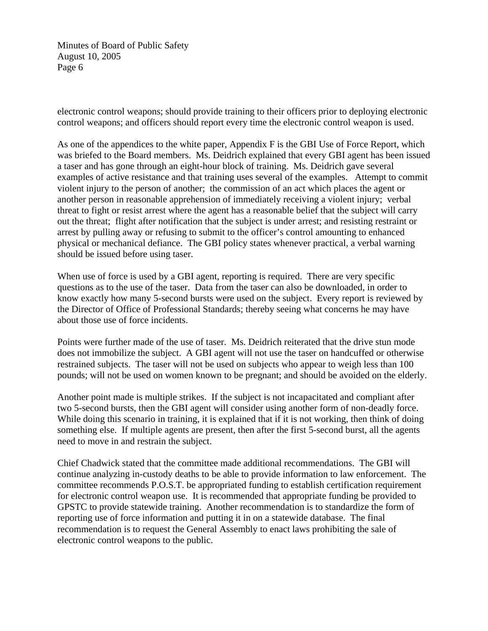electronic control weapons; should provide training to their officers prior to deploying electronic control weapons; and officers should report every time the electronic control weapon is used.

As one of the appendices to the white paper, Appendix F is the GBI Use of Force Report, which was briefed to the Board members. Ms. Deidrich explained that every GBI agent has been issued a taser and has gone through an eight-hour block of training. Ms. Deidrich gave several examples of active resistance and that training uses several of the examples. Attempt to commit violent injury to the person of another; the commission of an act which places the agent or another person in reasonable apprehension of immediately receiving a violent injury; verbal threat to fight or resist arrest where the agent has a reasonable belief that the subject will carry out the threat; flight after notification that the subject is under arrest; and resisting restraint or arrest by pulling away or refusing to submit to the officer's control amounting to enhanced physical or mechanical defiance. The GBI policy states whenever practical, a verbal warning should be issued before using taser.

When use of force is used by a GBI agent, reporting is required. There are very specific questions as to the use of the taser. Data from the taser can also be downloaded, in order to know exactly how many 5-second bursts were used on the subject. Every report is reviewed by the Director of Office of Professional Standards; thereby seeing what concerns he may have about those use of force incidents.

Points were further made of the use of taser. Ms. Deidrich reiterated that the drive stun mode does not immobilize the subject. A GBI agent will not use the taser on handcuffed or otherwise restrained subjects. The taser will not be used on subjects who appear to weigh less than 100 pounds; will not be used on women known to be pregnant; and should be avoided on the elderly.

Another point made is multiple strikes. If the subject is not incapacitated and compliant after two 5-second bursts, then the GBI agent will consider using another form of non-deadly force. While doing this scenario in training, it is explained that if it is not working, then think of doing something else. If multiple agents are present, then after the first 5-second burst, all the agents need to move in and restrain the subject.

Chief Chadwick stated that the committee made additional recommendations. The GBI will continue analyzing in-custody deaths to be able to provide information to law enforcement. The committee recommends P.O.S.T. be appropriated funding to establish certification requirement for electronic control weapon use. It is recommended that appropriate funding be provided to GPSTC to provide statewide training. Another recommendation is to standardize the form of reporting use of force information and putting it in on a statewide database. The final recommendation is to request the General Assembly to enact laws prohibiting the sale of electronic control weapons to the public.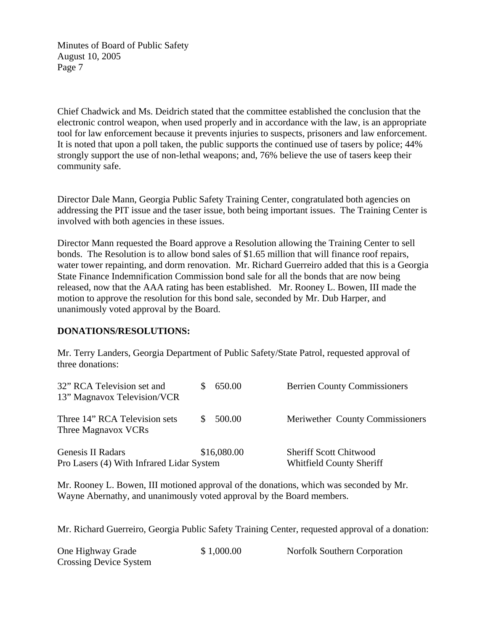Chief Chadwick and Ms. Deidrich stated that the committee established the conclusion that the electronic control weapon, when used properly and in accordance with the law, is an appropriate tool for law enforcement because it prevents injuries to suspects, prisoners and law enforcement. It is noted that upon a poll taken, the public supports the continued use of tasers by police; 44% strongly support the use of non-lethal weapons; and, 76% believe the use of tasers keep their community safe.

Director Dale Mann, Georgia Public Safety Training Center, congratulated both agencies on addressing the PIT issue and the taser issue, both being important issues. The Training Center is involved with both agencies in these issues.

Director Mann requested the Board approve a Resolution allowing the Training Center to sell bonds. The Resolution is to allow bond sales of \$1.65 million that will finance roof repairs, water tower repainting, and dorm renovation. Mr. Richard Guerreiro added that this is a Georgia State Finance Indemnification Commission bond sale for all the bonds that are now being released, now that the AAA rating has been established. Mr. Rooney L. Bowen, III made the motion to approve the resolution for this bond sale, seconded by Mr. Dub Harper, and unanimously voted approval by the Board.

## **DONATIONS/RESOLUTIONS:**

Mr. Terry Landers, Georgia Department of Public Safety/State Patrol, requested approval of three donations:

| 32" RCA Television set and<br>13" Magnavox Television/VCR      | 650.00      | <b>Berrien County Commissioners</b>                              |
|----------------------------------------------------------------|-------------|------------------------------------------------------------------|
| Three 14" RCA Television sets<br>Three Magnavox VCRs           | 500.00      | Meriwether County Commissioners                                  |
| Genesis II Radars<br>Pro Lasers (4) With Infrared Lidar System | \$16,080.00 | <b>Sheriff Scott Chitwood</b><br><b>Whitfield County Sheriff</b> |

Mr. Rooney L. Bowen, III motioned approval of the donations, which was seconded by Mr. Wayne Abernathy, and unanimously voted approval by the Board members.

Mr. Richard Guerreiro, Georgia Public Safety Training Center, requested approval of a donation:

| One Highway Grade      | \$1,000.00 | Norfolk Southern Corporation |
|------------------------|------------|------------------------------|
| Crossing Device System |            |                              |